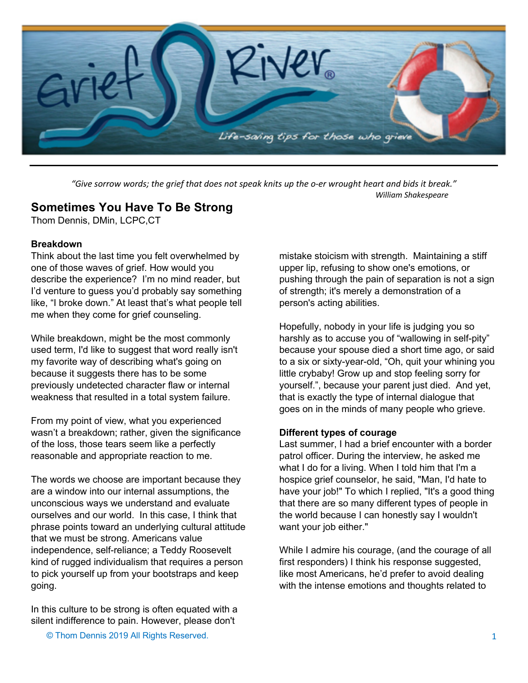

*"Give sorrow words; the grief that does not speak knits up the o-er wrought heart and bids it break." William Shakespeare* 

# **Sometimes You Have To Be Strong**

Thom Dennis, DMin, LCPC,CT

## **Breakdown**

Think about the last time you felt overwhelmed by one of those waves of grief. How would you describe the experience? I'm no mind reader, but I'd venture to guess you'd probably say something like, "I broke down." At least that's what people tell me when they come for grief counseling.

While breakdown, might be the most commonly used term, I'd like to suggest that word really isn't my favorite way of describing what's going on because it suggests there has to be some previously undetected character flaw or internal weakness that resulted in a total system failure.

From my point of view, what you experienced wasn't a breakdown; rather, given the significance of the loss, those tears seem like a perfectly reasonable and appropriate reaction to me.

The words we choose are important because they are a window into our internal assumptions, the unconscious ways we understand and evaluate ourselves and our world. In this case, I think that phrase points toward an underlying cultural attitude that we must be strong. Americans value independence, self-reliance; a Teddy Roosevelt kind of rugged individualism that requires a person to pick yourself up from your bootstraps and keep going.

In this culture to be strong is often equated with a silent indifference to pain. However, please don't

mistake stoicism with strength. Maintaining a stiff upper lip, refusing to show one's emotions, or pushing through the pain of separation is not a sign of strength; it's merely a demonstration of a person's acting abilities.

Hopefully, nobody in your life is judging you so harshly as to accuse you of "wallowing in self-pity" because your spouse died a short time ago, or said to a six or sixty-year-old, "Oh, quit your whining you little crybaby! Grow up and stop feeling sorry for yourself.", because your parent just died. And yet, that is exactly the type of internal dialogue that goes on in the minds of many people who grieve.

## **Different types of courage**

Last summer, I had a brief encounter with a border patrol officer. During the interview, he asked me what I do for a living. When I told him that I'm a hospice grief counselor, he said, "Man, I'd hate to have your job!" To which I replied, "It's a good thing that there are so many different types of people in the world because I can honestly say I wouldn't want your job either."

While I admire his courage, (and the courage of all first responders) I think his response suggested, like most Americans, he'd prefer to avoid dealing with the intense emotions and thoughts related to

© Thom Dennis 2019 All Rights Reserved.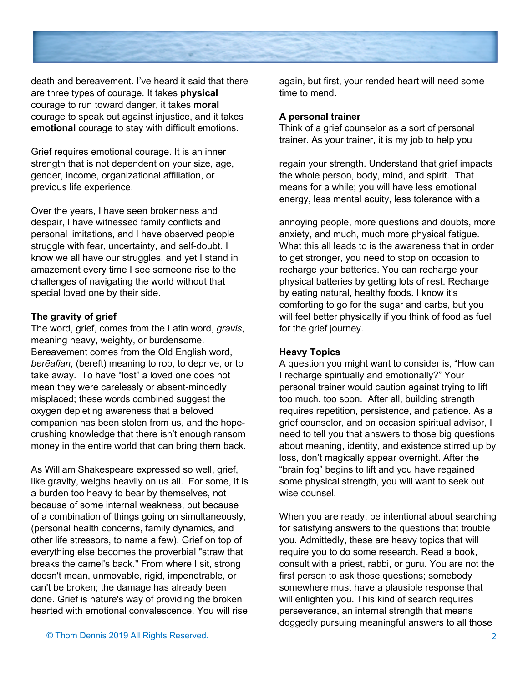

death and bereavement. I've heard it said that there are three types of courage. It takes **physical**  courage to run toward danger, it takes **moral** courage to speak out against injustice, and it takes **emotional** courage to stay with difficult emotions.

Grief requires emotional courage. It is an inner strength that is not dependent on your size, age, gender, income, organizational affiliation, or previous life experience.

Over the years, I have seen brokenness and despair, I have witnessed family conflicts and personal limitations, and I have observed people struggle with fear, uncertainty, and self-doubt. I know we all have our struggles, and yet I stand in amazement every time I see someone rise to the challenges of navigating the world without that special loved one by their side.

#### **The gravity of grief**

The word, grief, comes from the Latin word, *gravis*, meaning heavy, weighty, or burdensome. Bereavement comes from the Old English word, *berēafian*, (bereft) meaning to rob, to deprive, or to take away. To have "lost" a loved one does not mean they were carelessly or absent-mindedly misplaced; these words combined suggest the oxygen depleting awareness that a beloved companion has been stolen from us, and the hopecrushing knowledge that there isn't enough ransom money in the entire world that can bring them back.

As William Shakespeare expressed so well, grief, like gravity, weighs heavily on us all. For some, it is a burden too heavy to bear by themselves, not because of some internal weakness, but because of a combination of things going on simultaneously, (personal health concerns, family dynamics, and other life stressors, to name a few). Grief on top of everything else becomes the proverbial "straw that breaks the camel's back." From where I sit, strong doesn't mean, unmovable, rigid, impenetrable, or can't be broken; the damage has already been done. Grief is nature's way of providing the broken hearted with emotional convalescence. You will rise

again, but first, your rended heart will need some time to mend.

#### **A personal trainer**

Think of a grief counselor as a sort of personal trainer. As your trainer, it is my job to help you

regain your strength. Understand that grief impacts the whole person, body, mind, and spirit. That means for a while; you will have less emotional energy, less mental acuity, less tolerance with a

annoying people, more questions and doubts, more anxiety, and much, much more physical fatigue. What this all leads to is the awareness that in order to get stronger, you need to stop on occasion to recharge your batteries. You can recharge your physical batteries by getting lots of rest. Recharge by eating natural, healthy foods. I know it's comforting to go for the sugar and carbs, but you will feel better physically if you think of food as fuel for the grief journey.

### **Heavy Topics**

A question you might want to consider is, "How can I recharge spiritually and emotionally?" Your personal trainer would caution against trying to lift too much, too soon. After all, building strength requires repetition, persistence, and patience. As a grief counselor, and on occasion spiritual advisor, I need to tell you that answers to those big questions about meaning, identity, and existence stirred up by loss, don't magically appear overnight. After the "brain fog" begins to lift and you have regained some physical strength, you will want to seek out wise counsel.

When you are ready, be intentional about searching for satisfying answers to the questions that trouble you. Admittedly, these are heavy topics that will require you to do some research. Read a book, consult with a priest, rabbi, or guru. You are not the first person to ask those questions; somebody somewhere must have a plausible response that will enlighten you. This kind of search requires perseverance, an internal strength that means doggedly pursuing meaningful answers to all those